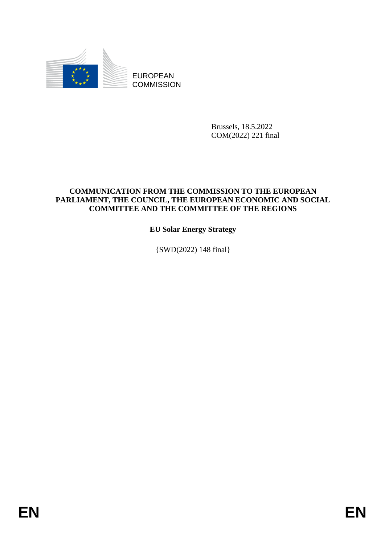

EUROPEAN **COMMISSION** 

> Brussels, 18.5.2022 COM(2022) 221 final

## **COMMUNICATION FROM THE COMMISSION TO THE EUROPEAN PARLIAMENT, THE COUNCIL, THE EUROPEAN ECONOMIC AND SOCIAL COMMITTEE AND THE COMMITTEE OF THE REGIONS**

**EU Solar Energy Strategy**

{SWD(2022) 148 final}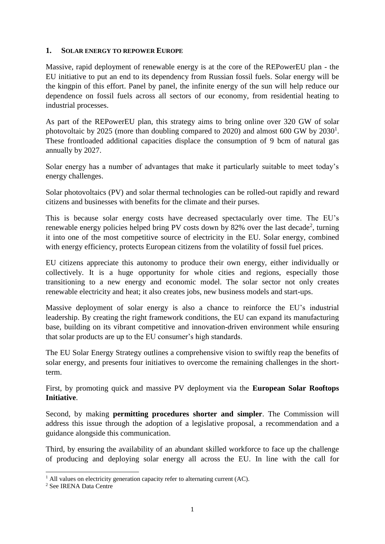## **1. SOLAR ENERGY TO REPOWER EUROPE**

Massive, rapid deployment of renewable energy is at the core of the REPowerEU plan - the EU initiative to put an end to its dependency from Russian fossil fuels. Solar energy will be the kingpin of this effort. Panel by panel, the infinite energy of the sun will help reduce our dependence on fossil fuels across all sectors of our economy, from residential heating to industrial processes.

As part of the REPowerEU plan, this strategy aims to bring online over 320 GW of solar photovoltaic by 2025 (more than doubling compared to 2020) and almost 600 GW by  $2030<sup>1</sup>$ . These frontloaded additional capacities displace the consumption of 9 bcm of natural gas annually by 2027.

Solar energy has a number of advantages that make it particularly suitable to meet today's energy challenges.

Solar photovoltaics (PV) and solar thermal technologies can be rolled-out rapidly and reward citizens and businesses with benefits for the climate and their purses.

This is because solar energy costs have decreased spectacularly over time. The EU's renewable energy policies helped bring PV costs down by 82% over the last decade<sup>2</sup>, turning it into one of the most competitive source of electricity in the EU. Solar energy, combined with energy efficiency, protects European citizens from the volatility of fossil fuel prices.

EU citizens appreciate this autonomy to produce their own energy, either individually or collectively. It is a huge opportunity for whole cities and regions, especially those transitioning to a new energy and economic model. The solar sector not only creates renewable electricity and heat; it also creates jobs, new business models and start-ups.

Massive deployment of solar energy is also a chance to reinforce the EU's industrial leadership. By creating the right framework conditions, the EU can expand its manufacturing base, building on its vibrant competitive and innovation-driven environment while ensuring that solar products are up to the EU consumer's high standards.

The EU Solar Energy Strategy outlines a comprehensive vision to swiftly reap the benefits of solar energy, and presents four initiatives to overcome the remaining challenges in the shortterm.

First, by promoting quick and massive PV deployment via the **European Solar Rooftops Initiative**.

Second, by making **permitting procedures shorter and simpler**. The Commission will address this issue through the adoption of a legislative proposal, a recommendation and a guidance alongside this communication.

Third, by ensuring the availability of an abundant skilled workforce to face up the challenge of producing and deploying solar energy all across the EU. In line with the call for

<u>.</u>

 $<sup>1</sup>$  All values on electricity generation capacity refer to alternating current (AC).</sup>

<sup>2</sup> See IRENA Data Centre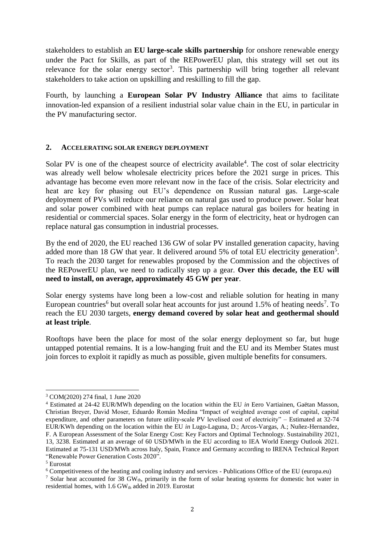stakeholders to establish an **EU large-scale skills partnership** for onshore renewable energy under the Pact for Skills, as part of the REPowerEU plan, this strategy will set out its relevance for the solar energy sector<sup>3</sup>. This partnership will bring together all relevant stakeholders to take action on upskilling and reskilling to fill the gap.

Fourth, by launching a **European Solar PV Industry Alliance** that aims to facilitate innovation-led expansion of a resilient industrial solar value chain in the EU, in particular in the PV manufacturing sector.

### **2. ACCELERATING SOLAR ENERGY DEPLOYMENT**

Solar PV is one of the cheapest source of electricity available<sup>4</sup>. The cost of solar electricity was already well below wholesale electricity prices before the 2021 surge in prices. This advantage has become even more relevant now in the face of the crisis. Solar electricity and heat are key for phasing out EU's dependence on Russian natural gas. Large-scale deployment of PVs will reduce our reliance on natural gas used to produce power. Solar heat and solar power combined with heat pumps can replace natural gas boilers for heating in residential or commercial spaces. Solar energy in the form of electricity, heat or hydrogen can replace natural gas consumption in industrial processes.

By the end of 2020, the EU reached 136 GW of solar PV installed generation capacity, having added more than 18 GW that year. It delivered around 5% of total EU electricity generation<sup>5</sup>. To reach the 2030 target for renewables proposed by the Commission and the objectives of the REPowerEU plan, we need to radically step up a gear. **Over this decade, the EU will need to install, on average, approximately 45 GW per year**.

Solar energy systems have long been a low-cost and reliable solution for heating in many European countries<sup>6</sup> but overall solar heat accounts for just around  $1.5\%$  of heating needs<sup>7</sup>. To reach the EU 2030 targets, **energy demand covered by solar heat and geothermal should at least triple**.

Rooftops have been the place for most of the solar energy deployment so far, but huge untapped potential remains. It is a low-hanging fruit and the EU and its Member States must join forces to exploit it rapidly as much as possible, given multiple benefits for consumers.

<sup>-</sup><sup>3</sup> COM(2020) 274 final, 1 June 2020

<sup>4</sup> Estimated at 24-42 EUR/MWh depending on the location within the EU *in* Eero Vartiainen, Gaëtan Masson, Christian Breyer, David Moser, Eduardo Román Medina "Impact of weighted average cost of capital, capital expenditure, and other parameters on future utility-scale PV levelised cost of electricity" – Estimated at 32-74 EUR/KWh depending on the location within the EU *in* Lugo-Laguna, D.; Arcos-Vargas, A.; Nuñez-Hernandez, F. A European Assessment of the Solar Energy Cost: Key Factors and Optimal Technology. Sustainability 2021, 13, 3238. Estimated at an average of 60 USD/MWh in the EU according to IEA World Energy Outlook 2021. Estimated at 75-131 USD/MWh across Italy, Spain, France and Germany according to IRENA Technical Report "Renewable Power Generation Costs 2020".

<sup>5</sup> Eurostat

<sup>6</sup> Competitiveness of the heating and cooling industry and services - Publications Office of the EU (europa.eu)

<sup>&</sup>lt;sup>7</sup> Solar heat accounted for 38 GW<sub>th</sub>, primarily in the form of solar heating systems for domestic hot water in residential homes, with  $1.6$  GW<sub>th</sub> added in 2019. Eurostat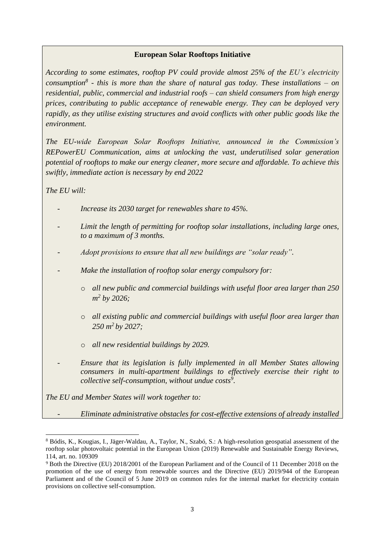## **European Solar Rooftops Initiative**

*According to some estimates, rooftop PV could provide almost 25% of the EU's electricity consumption<sup>8</sup> - this is more than the share of natural gas today. These installations – on residential, public, commercial and industrial roofs – can shield consumers from high energy prices, contributing to public acceptance of renewable energy. They can be deployed very rapidly, as they utilise existing structures and avoid conflicts with other public goods like the environment.* 

*The EU-wide European Solar Rooftops Initiative, announced in the Commission's REPowerEU Communication, aims at unlocking the vast, underutilised solar generation potential of rooftops to make our energy cleaner, more secure and affordable. To achieve this swiftly, immediate action is necessary by end 2022*

*The EU will:*

- *Increase its 2030 target for renewables share to 45%.*
- Limit the length of permitting for rooftop solar installations, including large ones, *to a maximum of 3 months.*
- Adopt provisions to ensure that all new buildings are "solar ready".
- *Make the installation of rooftop solar energy compulsory for:*
	- o *all new public and commercial buildings with useful floor area larger than 250 m 2 by 2026;*
	- o *all existing public and commercial buildings with useful floor area larger than 250 m<sup>2</sup>by 2027;*
	- o *all new residential buildings by 2029.*
	- *Ensure that its legislation is fully implemented in all Member States allowing consumers in multi-apartment buildings to effectively exercise their right to collective self-consumption, without undue costs<sup>9</sup> .*

*The EU and Member States will work together to:*

- *Eliminate administrative obstacles for cost-effective extensions of already installed* 

<sup>&</sup>lt;u>.</u> <sup>8</sup> Bódis, K., Kougias, I., Jäger-Waldau, A., Taylor, N., Szabó, S.: A high-resolution geospatial assessment of the rooftop solar photovoltaic potential in the European Union (2019) Renewable and Sustainable Energy Reviews, 114, art. no. 109309

<sup>9</sup> Both the Directive (EU) 2018/2001 of the European Parliament and of the Council of 11 December 2018 on the promotion of the use of energy from renewable sources and the Directive (EU) 2019/944 of the European Parliament and of the Council of 5 June 2019 on common rules for the internal market for electricity contain provisions on collective self-consumption.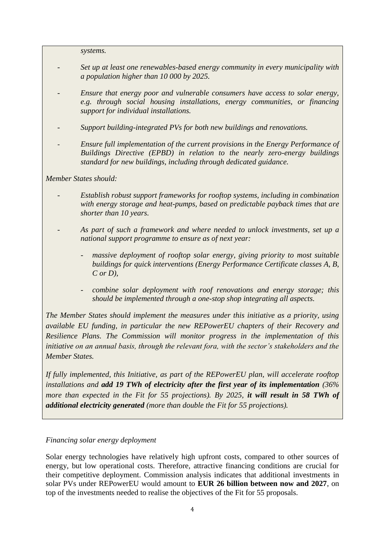*systems.*

- *Set up at least one renewables-based energy community in every municipality with a population higher than 10 000 by 2025.*
- *Ensure that energy poor and vulnerable consumers have access to solar energy, e.g. through social housing installations, energy communities, or financing support for individual installations.*

- *Support building-integrated PVs for both new buildings and renovations.*

- *Ensure full implementation of the current provisions in the Energy Performance of Buildings Directive (EPBD) in relation to the nearly zero-energy buildings standard for new buildings, including through dedicated guidance.*

## *Member States should:*

- *Establish robust support frameworks for rooftop systems, including in combination with energy storage and heat-pumps, based on predictable payback times that are shorter than 10 years.*
- *As part of such a framework and where needed to unlock investments, set up a national support programme to ensure as of next year:*
	- *massive deployment of rooftop solar energy, giving priority to most suitable buildings for quick interventions (Energy Performance Certificate classes A, B, C or D),*
	- *combine solar deployment with roof renovations and energy storage; this should be implemented through a one-stop shop integrating all aspects.*

*The Member States should implement the measures under this initiative as a priority, using available EU funding, in particular the new REPowerEU chapters of their Recovery and Resilience Plans. The Commission will monitor progress in the implementation of this initiative on an annual basis, through the relevant fora, with the sector's stakeholders and the Member States.*

*If fully implemented, this Initiative, as part of the REPowerEU plan, will accelerate rooftop installations and add 19 TWh of electricity after the first year of its implementation (36% more than expected in the Fit for 55 projections). By 2025, it will result in 58 TWh of additional electricity generated (more than double the Fit for 55 projections).*

### *Financing solar energy deployment*

Solar energy technologies have relatively high upfront costs, compared to other sources of energy, but low operational costs. Therefore, attractive financing conditions are crucial for their competitive deployment. Commission analysis indicates that additional investments in solar PVs under REPowerEU would amount to **EUR 26 billion between now and 2027**, on top of the investments needed to realise the objectives of the Fit for 55 proposals.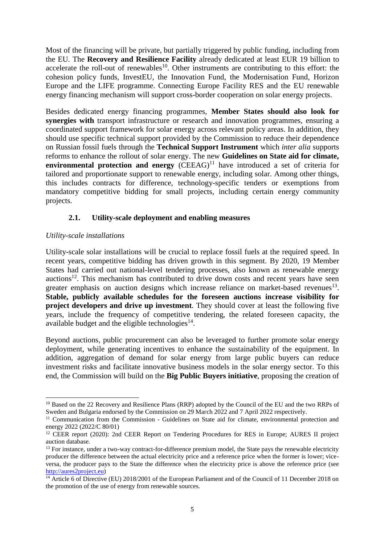Most of the financing will be private, but partially triggered by public funding, including from the EU. The **Recovery and Resilience Facility** already dedicated at least EUR 19 billion to accelerate the roll-out of renewables<sup>10</sup>. Other instruments are contributing to this effort: the cohesion policy funds, InvestEU, the Innovation Fund, the Modernisation Fund, Horizon Europe and the LIFE programme. Connecting Europe Facility RES and the EU renewable energy financing mechanism will support cross-border cooperation on solar energy projects.

Besides dedicated energy financing programmes, **Member States should also look for synergies with** transport infrastructure or research and innovation programmes, ensuring a coordinated support framework for solar energy across relevant policy areas. In addition, they should use specific technical support provided by the Commission to reduce their dependence on Russian fossil fuels through the **Technical Support Instrument** which *inter alia* supports reforms to enhance the rollout of solar energy. The new **Guidelines on State aid for climate, environmental protection and energy**  $(CEEAG)^{11}$  have introduced a set of criteria for tailored and proportionate support to renewable energy, including solar. Among other things, this includes contracts for difference, technology-specific tenders or exemptions from mandatory competitive bidding for small projects, including certain energy community projects.

## **2.1. Utility-scale deployment and enabling measures**

## *Utility-scale installations*

.<br>-

Utility-scale solar installations will be crucial to replace fossil fuels at the required speed. In recent years, competitive bidding has driven growth in this segment. By 2020, 19 Member States had carried out national-level tendering processes, also known as renewable energy auctions<sup>12</sup>. This mechanism has contributed to drive down costs and recent years have seen greater emphasis on auction designs which increase reliance on market-based revenues<sup>13</sup>. **Stable, publicly available schedules for the foreseen auctions increase visibility for project developers and drive up investment**. They should cover at least the following five years, include the frequency of competitive tendering, the related foreseen capacity, the available budget and the eligible technologies $^{14}$ .

Beyond auctions, public procurement can also be leveraged to further promote solar energy deployment, while generating incentives to enhance the sustainability of the equipment. In addition, aggregation of demand for solar energy from large public buyers can reduce investment risks and facilitate innovative business models in the solar energy sector. To this end, the Commission will build on the **Big Public Buyers initiative**, proposing the creation of

<sup>&</sup>lt;sup>10</sup> Based on the 22 Recovery and Resilience Plans (RRP) adopted by the Council of the EU and the two RRPs of Sweden and Bulgaria endorsed by the Commission on 29 March 2022 and 7 April 2022 respectively.

<sup>&</sup>lt;sup>11</sup> Communication from the Commission - Guidelines on State aid for climate, environmental protection and energy 2022 (2022/C 80/01)

<sup>&</sup>lt;sup>12</sup> CEER report (2020): 2nd CEER Report on Tendering Procedures for RES in Europe; AURES II project auction database.

<sup>&</sup>lt;sup>13</sup> For instance, under a two-way contract-for-difference premium model, the State pays the renewable electricity producer the difference between the actual electricity price and a reference price when the former is lower; viceversa, the producer pays to the State the difference when the electricity price is above the reference price (see [http://aures2project.eu\)](http://aures2project.eu/)

<sup>&</sup>lt;sup>14</sup> Article 6 of Directive (EU) 2018/2001 of the European Parliament and of the Council of 11 December 2018 on the promotion of the use of energy from renewable sources.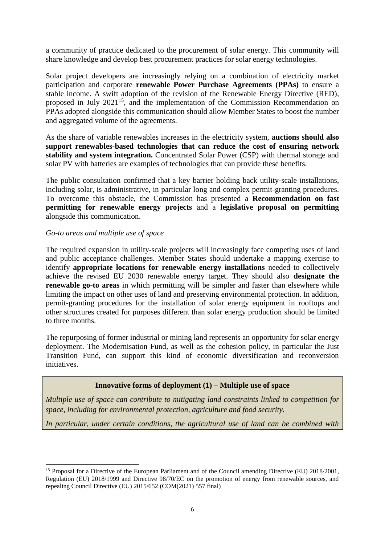a community of practice dedicated to the procurement of solar energy. This community will share knowledge and develop best procurement practices for solar energy technologies.

Solar project developers are increasingly relying on a combination of electricity market participation and corporate **renewable Power Purchase Agreements (PPAs)** to ensure a stable income. A swift adoption of the revision of the Renewable Energy Directive (RED), proposed in July 2021<sup>15</sup>, and the implementation of the Commission Recommendation on PPAs adopted alongside this communication should allow Member States to boost the number and aggregated volume of the agreements.

As the share of variable renewables increases in the electricity system, **auctions should also support renewables-based technologies that can reduce the cost of ensuring network stability and system integration.** Concentrated Solar Power (CSP) with thermal storage and solar PV with batteries are examples of technologies that can provide these benefits.

The public consultation confirmed that a key barrier holding back utility-scale installations, including solar, is administrative, in particular long and complex permit-granting procedures. To overcome this obstacle, the Commission has presented a **Recommendation on fast permitting for renewable energy projects** and a **legislative proposal on permitting** alongside this communication.

### *Go-to areas and multiple use of space*

.<br>-

The required expansion in utility-scale projects will increasingly face competing uses of land and public acceptance challenges. Member States should undertake a mapping exercise to identify **appropriate locations for renewable energy installations** needed to collectively achieve the revised EU 2030 renewable energy target. They should also **designate the renewable go-to areas** in which permitting will be simpler and faster than elsewhere while limiting the impact on other uses of land and preserving environmental protection. In addition, permit-granting procedures for the installation of solar energy equipment in rooftops and other structures created for purposes different than solar energy production should be limited to three months.

The repurposing of former industrial or mining land represents an opportunity for solar energy deployment. The Modernisation Fund, as well as the cohesion policy, in particular the Just Transition Fund, can support this kind of economic diversification and reconversion initiatives.

## **Innovative forms of deployment (1) – Multiple use of space**

*Multiple use of space can contribute to mitigating land constraints linked to competition for space, including for environmental protection, agriculture and food security.*

*In particular, under certain conditions, the agricultural use of land can be combined with* 

<sup>&</sup>lt;sup>15</sup> Proposal for a Directive of the European Parliament and of the Council amending Directive (EU) 2018/2001, Regulation (EU) 2018/1999 and Directive 98/70/EC on the promotion of energy from renewable sources, and repealing Council Directive (EU) 2015/652 (COM(2021) 557 final)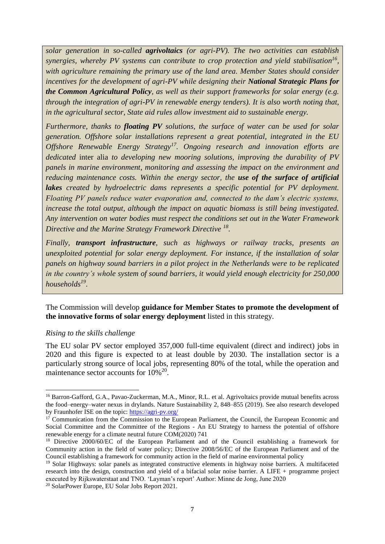*solar generation in so-called agrivoltaics (or agri-PV). The two activities can establish synergies, whereby PV systems can contribute to crop protection and yield stabilisation<sup>16</sup> , with agriculture remaining the primary use of the land area. Member States should consider incentives for the development of agri-PV while designing their National Strategic Plans for the Common Agricultural Policy, as well as their support frameworks for solar energy (e.g. through the integration of agri-PV in renewable energy tenders). It is also worth noting that, in the agricultural sector, State aid rules allow investment aid to sustainable energy.*

*Furthermore, thanks to floating PV solutions, the surface of water can be used for solar generation. Offshore solar installations represent a great potential, integrated in the EU Offshore Renewable Energy Strategy<sup>17</sup>. Ongoing research and innovation efforts are dedicated* inter alia *to developing new mooring solutions, improving the durability of PV panels in marine environment, monitoring and assessing the impact on the environment and reducing maintenance costs. Within the energy sector, the use of the surface of artificial lakes created by hydroelectric dams represents a specific potential for PV deployment. Floating PV panels reduce water evaporation and, connected to the dam's electric systems, increase the total output, although the impact on aquatic biomass is still being investigated. Any intervention on water bodies must respect the conditions set out in the Water Framework Directive and the Marine Strategy Framework Directive <sup>18</sup> .*

*Finally, transport infrastructure, such as highways or railway tracks, presents an unexploited potential for solar energy deployment. For instance, if the installation of solar panels on highway sound barriers in a pilot project in the Netherlands were to be replicated in the country's whole system of sound barriers, it would yield enough electricity for 250,000 households<sup>19</sup> .* 

The Commission will develop **guidance for Member States to promote the development of the innovative forms of solar energy deployment** listed in this strategy.

### *Rising to the skills challenge*

-

The EU solar PV sector employed 357,000 full-time equivalent (direct and indirect) jobs in 2020 and this figure is expected to at least double by 2030. The installation sector is a particularly strong source of local jobs, representing 80% of the total, while the operation and maintenance sector accounts for  $10\%^{20}$ .

<sup>&</sup>lt;sup>16</sup> Barron-Gafford, G.A., Pavao-Zuckerman, M.A., Minor, R.L. et al. Agrivoltaics provide mutual benefits across the food–energy–water nexus in drylands. Nature Sustainability 2, 848–855 (2019). See also research developed by Fraunhofer ISE on the topic:<https://agri-pv.org/>

 $17$  Communication from the Commission to the European Parliament, the Council, the European Economic and Social Committee and the Committee of the Regions - An EU Strategy to harness the potential of offshore renewable energy for a climate neutral future COM(2020) 741

<sup>&</sup>lt;sup>18</sup> Directive 2000/60/EC of the European Parliament and of the Council establishing a framework for Community action in the field of water policy; Directive 2008/56/EC of the European Parliament and of the Council establishing a framework for community action in the field of marine environmental policy

<sup>&</sup>lt;sup>19</sup> Solar Highways: solar panels as integrated constructive elements in highway noise barriers. A multifaceted research into the design, construction and yield of a bifacial solar noise barrier. A LIFE + programme project executed by Rijkswaterstaat and TNO. 'Layman's report' Author: Minne de Jong, June 2020

<sup>20</sup> SolarPower Europe, EU Solar Jobs Report 2021.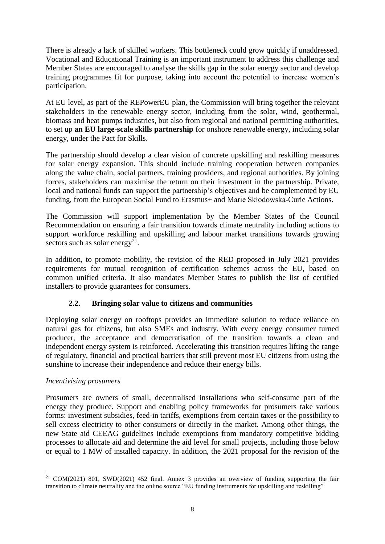There is already a lack of skilled workers. This bottleneck could grow quickly if unaddressed. Vocational and Educational Training is an important instrument to address this challenge and Member States are encouraged to analyse the skills gap in the solar energy sector and develop training programmes fit for purpose, taking into account the potential to increase women's participation.

At EU level, as part of the REPowerEU plan, the Commission will bring together the relevant stakeholders in the renewable energy sector, including from the solar, wind, geothermal, biomass and heat pumps industries, but also from regional and national permitting authorities, to set up **an EU large-scale skills partnership** for onshore renewable energy, including solar energy, under the Pact for Skills.

The partnership should develop a clear vision of concrete upskilling and reskilling measures for solar energy expansion. This should include training cooperation between companies along the value chain, social partners, training providers, and regional authorities. By joining forces, stakeholders can maximise the return on their investment in the partnership. Private, local and national funds can support the partnership's objectives and be complemented by EU funding, from the European Social Fund to Erasmus+ and Marie Skłodowska-Curie Actions.

The Commission will support implementation by the Member States of the Council Recommendation on ensuring a fair transition towards climate neutrality including actions to support workforce reskilling and upskilling and labour market transitions towards growing sectors such as solar energy<sup>21</sup>.

In addition, to promote mobility, the revision of the RED proposed in July 2021 provides requirements for mutual recognition of certification schemes across the EU, based on common unified criteria. It also mandates Member States to publish the list of certified installers to provide guarantees for consumers.

## **2.2. Bringing solar value to citizens and communities**

Deploying solar energy on rooftops provides an immediate solution to reduce reliance on natural gas for citizens, but also SMEs and industry. With every energy consumer turned producer, the acceptance and democratisation of the transition towards a clean and independent energy system is reinforced. Accelerating this transition requires lifting the range of regulatory, financial and practical barriers that still prevent most EU citizens from using the sunshine to increase their independence and reduce their energy bills.

## *Incentivising prosumers*

<u>.</u>

Prosumers are owners of small, decentralised installations who self-consume part of the energy they produce. Support and enabling policy frameworks for prosumers take various forms: investment subsidies, feed-in tariffs, exemptions from certain taxes or the possibility to sell excess electricity to other consumers or directly in the market. Among other things, the new State aid CEEAG guidelines include exemptions from mandatory competitive bidding processes to allocate aid and determine the aid level for small projects, including those below or equal to 1 MW of installed capacity. In addition, the 2021 proposal for the revision of the

<sup>&</sup>lt;sup>21</sup> COM(2021) 801, SWD(2021) 452 final. Annex 3 provides an overview of funding supporting the fair transition to climate neutrality and the online source "EU funding instruments for upskilling and reskilling"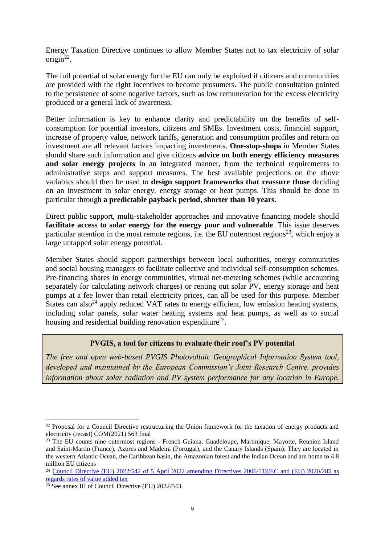Energy Taxation Directive continues to allow Member States not to tax electricity of solar  $origin^{22}$ .

The full potential of solar energy for the EU can only be exploited if citizens and communities are provided with the right incentives to become prosumers. The public consultation pointed to the persistence of some negative factors, such as low remuneration for the excess electricity produced or a general lack of awareness.

Better information is key to enhance clarity and predictability on the benefits of selfconsumption for potential investors, citizens and SMEs. Investment costs, financial support, increase of property value, network tariffs, generation and consumption profiles and return on investment are all relevant factors impacting investments. **One-stop-shops** in Member States should share such information and give citizens **advice on both energy efficiency measures and solar energy projects** in an integrated manner, from the technical requirements to administrative steps and support measures. The best available projections on the above variables should then be used to **design support frameworks that reassure those** deciding on an investment in solar energy, energy storage or heat pumps. This should be done in particular through **a predictable payback period, shorter than 10 years**.

Direct public support, multi-stakeholder approaches and innovative financing models should **facilitate access to solar energy for the energy poor and vulnerable**. This issue deserves particular attention in the most remote regions, i.e. the EU outermost regions<sup>23</sup>, which enjoy a large untapped solar energy potential.

Member States should support partnerships between local authorities, energy communities and social housing managers to facilitate collective and individual self-consumption schemes. Pre-financing shares in energy communities, virtual net-metering schemes (while accounting separately for calculating network charges) or renting out solar PV, energy storage and heat pumps at a fee lower than retail electricity prices, can all be used for this purpose. Member States can also<sup>24</sup> apply reduced VAT rates to energy efficient, low emission heating systems, including solar panels, solar water heating systems and heat pumps, as well as to social housing and residential building renovation expenditure<sup>25</sup>.

## **PVGIS, a tool for citizens to evaluate their roof's PV potential**

*The free and open web-based PVGIS Photovoltaic Geographical Information System tool, developed and maintained by the European Commission's Joint Research Centre, provides information about solar radiation and PV system performance for any location in Europe.*

<sup>-</sup><sup>22</sup> Proposal for a Council Directive restructuring the Union framework for the taxation of energy products and electricity (recast) COM(2021) 563 final

<sup>&</sup>lt;sup>23</sup> The EU counts nine outermost regions - French Guiana, Guadeloupe, Martinique, Mayotte, Reunion Island and Saint-Martin (France), Azores and Madeira (Portugal), and the Canary Islands (Spain). They are located in the western Atlantic Ocean, the Caribbean basin, the Amazonian forest and the Indian Ocean and are home to 4.8 million EU citizens

<sup>&</sup>lt;sup>24</sup> Council Directive (EU) 2022/542 of 5 April 2022 amending Directives 2006/112/EC and (EU) 2020/285 as [regards rates of value added tax](https://eur-lex.europa.eu/legal-content/EN/TXT/?uri=CELEX%3A32022L0542&qid=1650480530773)

<sup>&</sup>lt;sup>25</sup> See annex III of Council Directive (EU)  $2022/543$ .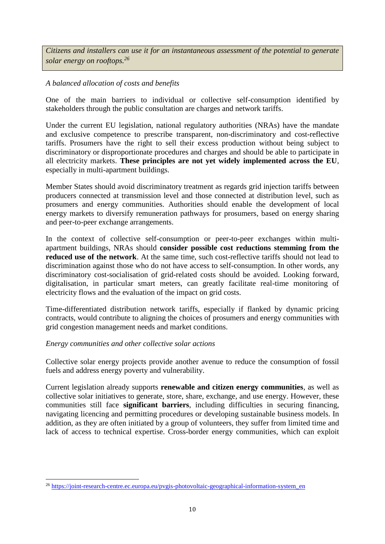*Citizens and installers can use it for an instantaneous assessment of the potential to generate solar energy on rooftops.<sup>26</sup>*

# *A balanced allocation of costs and benefits*

One of the main barriers to individual or collective self-consumption identified by stakeholders through the public consultation are charges and network tariffs.

Under the current EU legislation, national regulatory authorities (NRAs) have the mandate and exclusive competence to prescribe transparent, non-discriminatory and cost-reflective tariffs. Prosumers have the right to sell their excess production without being subject to discriminatory or disproportionate procedures and charges and should be able to participate in all electricity markets. **These principles are not yet widely implemented across the EU**, especially in multi-apartment buildings.

Member States should avoid discriminatory treatment as regards grid injection tariffs between producers connected at transmission level and those connected at distribution level, such as prosumers and energy communities. Authorities should enable the development of local energy markets to diversify remuneration pathways for prosumers, based on energy sharing and peer-to-peer exchange arrangements.

In the context of collective self-consumption or peer-to-peer exchanges within multiapartment buildings, NRAs should **consider possible cost reductions stemming from the reduced use of the network**. At the same time, such cost-reflective tariffs should not lead to discrimination against those who do not have access to self-consumption. In other words, any discriminatory cost-socialisation of grid-related costs should be avoided. Looking forward, digitalisation, in particular smart meters, can greatly facilitate real-time monitoring of electricity flows and the evaluation of the impact on grid costs.

Time-differentiated distribution network tariffs, especially if flanked by dynamic pricing contracts, would contribute to aligning the choices of prosumers and energy communities with grid congestion management needs and market conditions.

## *Energy communities and other collective solar actions*

-

Collective solar energy projects provide another avenue to reduce the consumption of fossil fuels and address energy poverty and vulnerability.

Current legislation already supports **renewable and citizen energy communities**, as well as collective solar initiatives to generate, store, share, exchange, and use energy. However, these communities still face **significant barriers**, including difficulties in securing financing, navigating licencing and permitting procedures or developing sustainable business models. In addition, as they are often initiated by a group of volunteers, they suffer from limited time and lack of access to technical expertise. Cross-border energy communities, which can exploit

<sup>&</sup>lt;sup>26</sup> [https://joint-research-centre.ec.europa.eu/pvgis-photovoltaic-geographical-information-system\\_en](https://joint-research-centre.ec.europa.eu/pvgis-photovoltaic-geographical-information-system_en)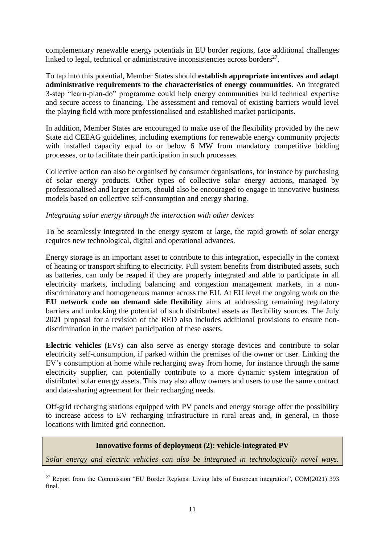complementary renewable energy potentials in EU border regions, face additional challenges linked to legal, technical or administrative inconsistencies across borders<sup>27</sup>.

To tap into this potential, Member States should **establish appropriate incentives and adapt administrative requirements to the characteristics of energy communities**. An integrated 3-step "learn-plan-do" programme could help energy communities build technical expertise and secure access to financing. The assessment and removal of existing barriers would level the playing field with more professionalised and established market participants.

In addition, Member States are encouraged to make use of the flexibility provided by the new State aid CEEAG guidelines, including exemptions for renewable energy community projects with installed capacity equal to or below 6 MW from mandatory competitive bidding processes, or to facilitate their participation in such processes.

Collective action can also be organised by consumer organisations, for instance by purchasing of solar energy products. Other types of collective solar energy actions, managed by professionalised and larger actors, should also be encouraged to engage in innovative business models based on collective self-consumption and energy sharing.

### *Integrating solar energy through the interaction with other devices*

To be seamlessly integrated in the energy system at large, the rapid growth of solar energy requires new technological, digital and operational advances.

Energy storage is an important asset to contribute to this integration, especially in the context of heating or transport shifting to electricity. Full system benefits from distributed assets, such as batteries, can only be reaped if they are properly integrated and able to participate in all electricity markets, including balancing and congestion management markets, in a nondiscriminatory and homogeneous manner across the EU. At EU level the ongoing work on the **EU network code on demand side flexibility** aims at addressing remaining regulatory barriers and unlocking the potential of such distributed assets as flexibility sources. The July 2021 proposal for a revision of the RED also includes additional provisions to ensure nondiscrimination in the market participation of these assets.

**Electric vehicles** (EVs) can also serve as energy storage devices and contribute to solar electricity self-consumption, if parked within the premises of the owner or user. Linking the EV's consumption at home while recharging away from home, for instance through the same electricity supplier, can potentially contribute to a more dynamic system integration of distributed solar energy assets. This may also allow owners and users to use the same contract and data-sharing agreement for their recharging needs.

Off-grid recharging stations equipped with PV panels and energy storage offer the possibility to increase access to EV recharging infrastructure in rural areas and, in general, in those locations with limited grid connection.

### **Innovative forms of deployment (2): vehicle-integrated PV**

*Solar energy and electric vehicles can also be integrated in technologically novel ways.* 

<u>.</u>

<sup>&</sup>lt;sup>27</sup> Report from the Commission "EU Border Regions: Living labs of European integration", COM(2021) 393 final.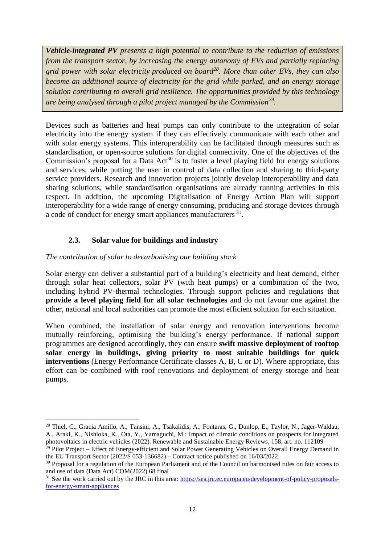*Vehicle-integrated PV presents a high potential to contribute to the reduction of emissions from the transport sector, by increasing the energy autonomy of EVs and partially replacing grid power with solar electricity produced on board<sup>28</sup>. More than other EVs, they can also become an additional source of electricity for the grid while parked, and an energy storage solution contributing to overall grid resilience. The opportunities provided by this technology are being analysed through a pilot project managed by the Commission<sup>29</sup> .*

Devices such as batteries and heat pumps can only contribute to the integration of solar electricity into the energy system if they can effectively communicate with each other and with solar energy systems. This interoperability can be facilitated through measures such as standardisation, or open-source solutions for digital connectivity. One of the objectives of the Commission's proposal for a Data  $Act^{30}$  is to foster a level playing field for energy solutions and services, while putting the user in control of data collection and sharing to third-party service providers. Research and innovation projects jointly develop interoperability and data sharing solutions, while standardisation organisations are already running activities in this respect. In addition, the upcoming Digitalisation of Energy Action Plan will support interoperability for a wide range of energy consuming, producing and storage devices through a code of conduct for energy smart appliances manufacturers<sup>31</sup>.

# **2.3. Solar value for buildings and industry**

# *The contribution of solar to decarbonising our building stock*

.<br>-

Solar energy can deliver a substantial part of a building's electricity and heat demand, either through solar heat collectors, solar PV (with heat pumps) or a combination of the two, including hybrid PV-thermal technologies. Through support policies and regulations that **provide a level playing field for all solar technologies** and do not favour one against the other, national and local authorities can promote the most efficient solution for each situation.

When combined, the installation of solar energy and renovation interventions become mutually reinforcing, optimising the building's energy performance. If national support programmes are designed accordingly, they can ensure **swift massive deployment of rooftop solar energy in buildings, giving priority to most suitable buildings for quick interventions** (Energy Performance Certificate classes A, B, C or D). Where appropriate, this effort can be combined with roof renovations and deployment of energy storage and heat pumps.

<sup>28</sup> Thiel, C., Gracia Amillo, A., Tansini, A., Tsakalidis, A., Fontaras, G., Dunlop, E., Taylor, N., Jäger-Waldau, A., Araki, K., Nishioka, K., Ota, Y., Yamaguchi, M.: Impact of climatic conditions on prospects for integrated photovoltaics in electric vehicles (2022). Renewable and Sustainable Energy Reviews, 158, art. no. 112109

 $29$  Pilot Project – Effect of Energy-efficient and Solar Power Generating Vehicles on Overall Energy Demand in the EU Transport Sector  $(2022/\sqrt{S\ 053-136682})$  – Contract notice published on 16/03/2022.

<sup>&</sup>lt;sup>30</sup> Proposal for a regulation of the European Parliament and of the Council on harmonised rules on fair access to and use of data (Data Act) COM(2022) 68 final

<sup>&</sup>lt;sup>31</sup> See the work carried out by the JRC in this area: [https://ses.jrc.ec.europa.eu/development-of-policy-proposals](https://ses.jrc.ec.europa.eu/development-of-policy-proposals-for-energy-smart-appliances)[for-energy-smart-appliances](https://ses.jrc.ec.europa.eu/development-of-policy-proposals-for-energy-smart-appliances)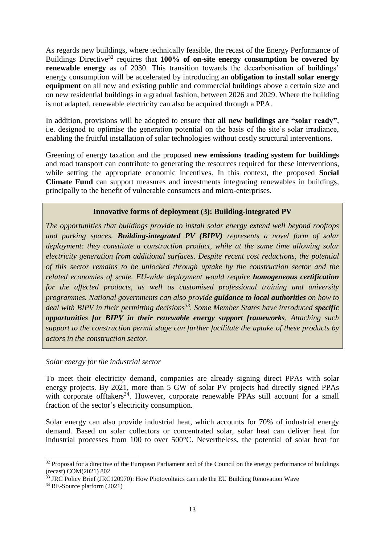As regards new buildings, where technically feasible, the recast of the Energy Performance of Buildings Directive<sup>32</sup> requires that **100% of on-site energy consumption be covered by renewable energy** as of 2030. This transition towards the decarbonisation of buildings' energy consumption will be accelerated by introducing an **obligation to install solar energy equipment** on all new and existing public and commercial buildings above a certain size and on new residential buildings in a gradual fashion, between 2026 and 2029. Where the building is not adapted, renewable electricity can also be acquired through a PPA.

In addition, provisions will be adopted to ensure that **all new buildings are "solar ready"**, i.e. designed to optimise the generation potential on the basis of the site's solar irradiance, enabling the fruitful installation of solar technologies without costly structural interventions.

Greening of energy taxation and the proposed **new emissions trading system for buildings** and road transport can contribute to generating the resources required for these interventions, while setting the appropriate economic incentives. In this context, the proposed **Social Climate Fund** can support measures and investments integrating renewables in buildings, principally to the benefit of vulnerable consumers and micro-enterprises.

## **Innovative forms of deployment (3): Building-integrated PV**

*The opportunities that buildings provide to install solar energy extend well beyond rooftops and parking spaces. Building-integrated PV (BIPV) represents a novel form of solar deployment: they constitute a construction product, while at the same time allowing solar electricity generation from additional surfaces. Despite recent cost reductions, the potential of this sector remains to be unlocked through uptake by the construction sector and the related economies of scale. EU-wide deployment would require homogeneous certification for the affected products, as well as customised professional training and university programmes. National governments can also provide guidance to local authorities on how to deal with BIPV in their permitting decisions<sup>33</sup>. Some Member States have introduced specific opportunities for BIPV in their renewable energy support frameworks. Attaching such support to the construction permit stage can further facilitate the uptake of these products by actors in the construction sector.*

*Solar energy for the industrial sector*

To meet their electricity demand, companies are already signing direct PPAs with solar energy projects. By 2021, more than 5 GW of solar PV projects had directly signed PPAs with corporate offtakers<sup>34</sup>. However, corporate renewable PPAs still account for a small fraction of the sector's electricity consumption.

Solar energy can also provide industrial heat, which accounts for 70% of industrial energy demand. Based on solar collectors or concentrated solar, solar heat can deliver heat for industrial processes from 100 to over 500°C. Nevertheless, the potential of solar heat for

-

 $32$  Proposal for a directive of the European Parliament and of the Council on the energy performance of buildings (recast) COM(2021) 802

 $33$  JRC Policy Brief (JRC120970): How Photovoltaics can ride the EU Building Renovation Wave

<sup>34</sup> RE-Source platform (2021)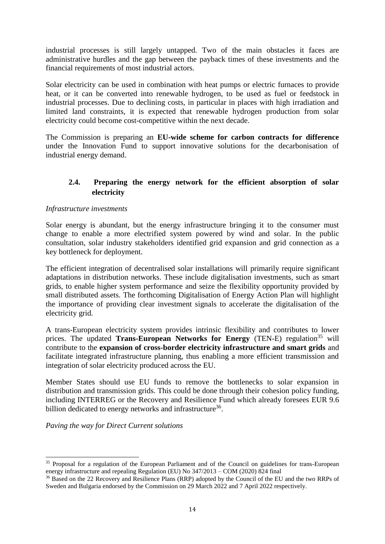industrial processes is still largely untapped. Two of the main obstacles it faces are administrative hurdles and the gap between the payback times of these investments and the financial requirements of most industrial actors.

Solar electricity can be used in combination with heat pumps or electric furnaces to provide heat, or it can be converted into renewable hydrogen, to be used as fuel or feedstock in industrial processes. Due to declining costs, in particular in places with high irradiation and limited land constraints, it is expected that renewable hydrogen production from solar electricity could become cost-competitive within the next decade.

The Commission is preparing an **EU-wide scheme for carbon contracts for difference** under the Innovation Fund to support innovative solutions for the decarbonisation of industrial energy demand.

# **2.4. Preparing the energy network for the efficient absorption of solar electricity**

### *Infrastructure investments*

Solar energy is abundant, but the energy infrastructure bringing it to the consumer must change to enable a more electrified system powered by wind and solar. In the public consultation, solar industry stakeholders identified grid expansion and grid connection as a key bottleneck for deployment.

The efficient integration of decentralised solar installations will primarily require significant adaptations in distribution networks. These include digitalisation investments, such as smart grids, to enable higher system performance and seize the flexibility opportunity provided by small distributed assets. The forthcoming Digitalisation of Energy Action Plan will highlight the importance of providing clear investment signals to accelerate the digitalisation of the electricity grid.

A trans-European electricity system provides intrinsic flexibility and contributes to lower prices. The updated **Trans-European Networks for Energy** (TEN-E) regulation<sup>35</sup> will contribute to the **expansion of cross-border electricity infrastructure and smart grids** and facilitate integrated infrastructure planning, thus enabling a more efficient transmission and integration of solar electricity produced across the EU.

Member States should use EU funds to remove the bottlenecks to solar expansion in distribution and transmission grids. This could be done through their cohesion policy funding, including INTERREG or the Recovery and Resilience Fund which already foresees EUR 9.6 billion dedicated to energy networks and infrastructure<sup>36</sup>.

*Paving the way for Direct Current solutions*

-

<sup>&</sup>lt;sup>35</sup> Proposal for a regulation of the European Parliament and of the Council on guidelines for trans-European energy infrastructure and repealing Regulation (EU) No 347/2013 – COM (2020) 824 final

<sup>&</sup>lt;sup>36</sup> Based on the 22 Recovery and Resilience Plans (RRP) adopted by the Council of the EU and the two RRPs of Sweden and Bulgaria endorsed by the Commission on 29 March 2022 and 7 April 2022 respectively.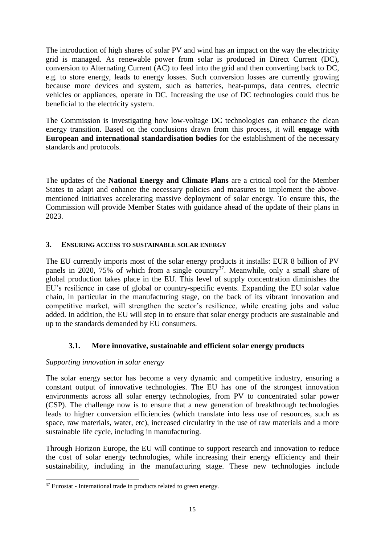The introduction of high shares of solar PV and wind has an impact on the way the electricity grid is managed. As renewable power from solar is produced in Direct Current (DC), conversion to Alternating Current (AC) to feed into the grid and then converting back to DC, e.g. to store energy, leads to energy losses. Such conversion losses are currently growing because more devices and system, such as batteries, heat-pumps, data centres, electric vehicles or appliances, operate in DC. Increasing the use of DC technologies could thus be beneficial to the electricity system.

The Commission is investigating how low-voltage DC technologies can enhance the clean energy transition. Based on the conclusions drawn from this process, it will **engage with European and international standardisation bodies** for the establishment of the necessary standards and protocols.

The updates of the **National Energy and Climate Plans** are a critical tool for the Member States to adapt and enhance the necessary policies and measures to implement the abovementioned initiatives accelerating massive deployment of solar energy. To ensure this, the Commission will provide Member States with guidance ahead of the update of their plans in 2023.

## **3. ENSURING ACCESS TO SUSTAINABLE SOLAR ENERGY**

The EU currently imports most of the solar energy products it installs: EUR 8 billion of PV panels in 2020, 75% of which from a single country<sup>37</sup>. Meanwhile, only a small share of global production takes place in the EU. This level of supply concentration diminishes the EU's resilience in case of global or country-specific events. Expanding the EU solar value chain, in particular in the manufacturing stage, on the back of its vibrant innovation and competitive market, will strengthen the sector's resilience, while creating jobs and value added. In addition, the EU will step in to ensure that solar energy products are sustainable and up to the standards demanded by EU consumers.

## **3.1. More innovative, sustainable and efficient solar energy products**

## *Supporting innovation in solar energy*

The solar energy sector has become a very dynamic and competitive industry, ensuring a constant output of innovative technologies. The EU has one of the strongest innovation environments across all solar energy technologies, from PV to concentrated solar power (CSP). The challenge now is to ensure that a new generation of breakthrough technologies leads to higher conversion efficiencies (which translate into less use of resources, such as space, raw materials, water, etc), increased circularity in the use of raw materials and a more sustainable life cycle, including in manufacturing.

Through Horizon Europe, the EU will continue to support research and innovation to reduce the cost of solar energy technologies, while increasing their energy efficiency and their sustainability, including in the manufacturing stage. These new technologies include

<sup>-</sup> $37$  Eurostat - International trade in products related to green energy.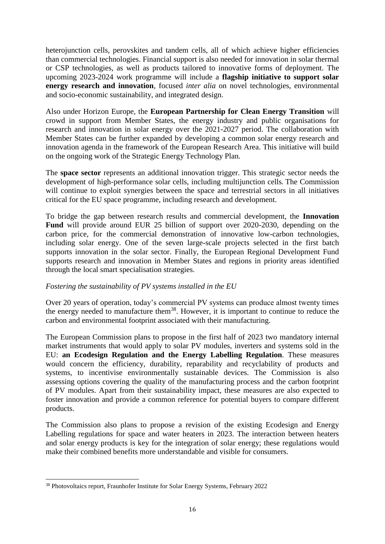heterojunction cells, perovskites and tandem cells, all of which achieve higher efficiencies than commercial technologies. Financial support is also needed for innovation in solar thermal or CSP technologies, as well as products tailored to innovative forms of deployment. The upcoming 2023-2024 work programme will include a **flagship initiative to support solar energy research and innovation**, focused *inter alia* on novel technologies, environmental and socio-economic sustainability, and integrated design.

Also under Horizon Europe, the **European Partnership for Clean Energy Transition** will crowd in support from Member States, the energy industry and public organisations for research and innovation in solar energy over the 2021-2027 period. The collaboration with Member States can be further expanded by developing a common solar energy research and innovation agenda in the framework of the European Research Area. This initiative will build on the ongoing work of the Strategic Energy Technology Plan.

The **space sector** represents an additional innovation trigger. This strategic sector needs the development of high-performance solar cells, including multijunction cells. The Commission will continue to exploit synergies between the space and terrestrial sectors in all initiatives critical for the EU space programme, including research and development.

To bridge the gap between research results and commercial development, the **Innovation Fund** will provide around EUR 25 billion of support over 2020-2030, depending on the carbon price, for the commercial demonstration of innovative low-carbon technologies, including solar energy. One of the seven large-scale projects selected in the first batch supports innovation in the solar sector. Finally, the European Regional Development Fund supports research and innovation in Member States and regions in priority areas identified through the local smart specialisation strategies.

## *Fostering the sustainability of PV systems installed in the EU*

Over 20 years of operation, today's commercial PV systems can produce almost twenty times the energy needed to manufacture them<sup>38</sup>. However, it is important to continue to reduce the carbon and environmental footprint associated with their manufacturing.

The European Commission plans to propose in the first half of 2023 two mandatory internal market instruments that would apply to solar PV modules, inverters and systems sold in the EU: **an Ecodesign Regulation and the Energy Labelling Regulation**. These measures would concern the efficiency, durability, reparability and recyclability of products and systems, to incentivise environmentally sustainable devices. The Commission is also assessing options covering the quality of the manufacturing process and the carbon footprint of PV modules. Apart from their sustainability impact, these measures are also expected to foster innovation and provide a common reference for potential buyers to compare different products.

The Commission also plans to propose a revision of the existing Ecodesign and Energy Labelling regulations for space and water heaters in 2023. The interaction between heaters and solar energy products is key for the integration of solar energy; these regulations would make their combined benefits more understandable and visible for consumers.

<sup>-</sup><sup>38</sup> Photovoltaics report, Fraunhofer Institute for Solar Energy Systems, February 2022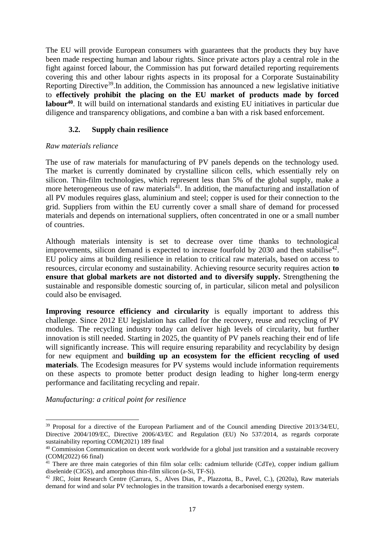The EU will provide European consumers with guarantees that the products they buy have been made respecting human and labour rights. Since private actors play a central role in the fight against forced labour, the Commission has put forward detailed reporting requirements covering this and other labour rights aspects in its proposal for a Corporate Sustainability Reporting Directive<sup>39</sup>. In addition, the Commission has announced a new legislative initiative to **effectively prohibit the placing on the EU market of products made by forced labour<sup>40</sup>** . It will build on international standards and existing EU initiatives in particular due diligence and transparency obligations, and combine a ban with a risk based enforcement.

# **3.2. Supply chain resilience**

## *Raw materials reliance*

The use of raw materials for manufacturing of PV panels depends on the technology used. The market is currently dominated by crystalline silicon cells, which essentially rely on silicon. Thin-film technologies, which represent less than 5% of the global supply, make a more heterogeneous use of raw materials<sup>41</sup>. In addition, the manufacturing and installation of all PV modules requires glass, aluminium and steel; copper is used for their connection to the grid. Suppliers from within the EU currently cover a small share of demand for processed materials and depends on international suppliers, often concentrated in one or a small number of countries.

Although materials intensity is set to decrease over time thanks to technological improvements, silicon demand is expected to increase fourfold by 2030 and then stabilise<sup>42</sup>. EU policy aims at building resilience in relation to critical raw materials, based on access to resources, circular economy and sustainability. Achieving resource security requires action **to ensure that global markets are not distorted and to diversify supply.** Strengthening the sustainable and responsible domestic sourcing of, in particular, silicon metal and polysilicon could also be envisaged.

**Improving resource efficiency and circularity** is equally important to address this challenge. Since 2012 EU legislation has called for the recovery, reuse and recycling of PV modules. The recycling industry today can deliver high levels of circularity, but further innovation is still needed. Starting in 2025, the quantity of PV panels reaching their end of life will significantly increase. This will require ensuring reparability and recyclability by design for new equipment and **building up an ecosystem for the efficient recycling of used materials**. The Ecodesign measures for PV systems would include information requirements on these aspects to promote better product design leading to higher long-term energy performance and facilitating recycling and repair.

*Manufacturing: a critical point for resilience* 

.<br>-

<sup>39</sup> Proposal for a directive of the European Parliament and of the Council amending Directive 2013/34/EU, Directive 2004/109/EC, Directive 2006/43/EC and Regulation (EU) No 537/2014, as regards corporate sustainability reporting COM(2021) 189 final

<sup>&</sup>lt;sup>40</sup> Commission Communication on decent work worldwide for a global just transition and a sustainable recovery (COM(2022) 66 final)

<sup>&</sup>lt;sup>41</sup> There are three main categories of thin film solar cells: cadmium telluride (CdTe), copper indium gallium diselenide (CIGS), and amorphous thin-film silicon (a-Si, TF-Si).

<sup>42</sup> JRC, Joint Research Centre (Carrara, S., Alves Dias, P., Plazzotta, B., Pavel, C.), (2020a), Raw materials demand for wind and solar PV technologies in the transition towards a decarbonised energy system.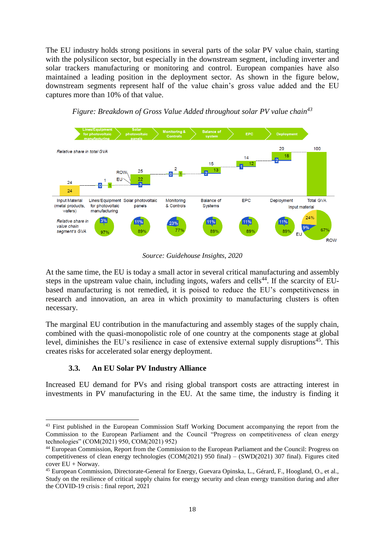The EU industry holds strong positions in several parts of the solar PV value chain, starting with the polysilicon sector, but especially in the downstream segment, including inverter and solar trackers manufacturing or monitoring and control. European companies have also maintained a leading position in the deployment sector. As shown in the figure below, downstream segments represent half of the value chain's gross value added and the EU captures more than 10% of that value.



*Figure: Breakdown of Gross Value Added throughout solar PV value chain<sup>43</sup>*

*Source: Guidehouse Insights, 2020*

At the same time, the EU is today a small actor in several critical manufacturing and assembly steps in the upstream value chain, including ingots, wafers and cells<sup>44</sup>. If the scarcity of EUbased manufacturing is not remedied, it is poised to reduce the EU's competitiveness in research and innovation, an area in which proximity to manufacturing clusters is often necessary.

The marginal EU contribution in the manufacturing and assembly stages of the supply chain, combined with the quasi-monopolistic role of one country at the components stage at global level, diminishes the EU's resilience in case of extensive external supply disruptions<sup>45</sup>. This creates risks for accelerated solar energy deployment.

## **3.3. An EU Solar PV Industry Alliance**

.<br>-

Increased EU demand for PVs and rising global transport costs are attracting interest in investments in PV manufacturing in the EU. At the same time, the industry is finding it

<sup>&</sup>lt;sup>43</sup> First published in the European Commission Staff Working Document accompanying the report from the Commission to the European Parliament and the Council "Progress on competitiveness of clean energy technologies" (COM(2021) 950, COM(2021) 952)

<sup>44</sup> European Commission, Report from the Commission to the European Parliament and the Council: Progress on competitiveness of clean energy technologies (COM(2021) 950 final) – (SWD(2021) 307 final). Figures cited cover EU + Norway.

<sup>45</sup> European Commission, Directorate-General for Energy, Guevara Opinska, L., Gérard, F., Hoogland, O., et al., Study on the resilience of critical supply chains for energy security and clean energy transition during and after the COVID-19 crisis : final report, 2021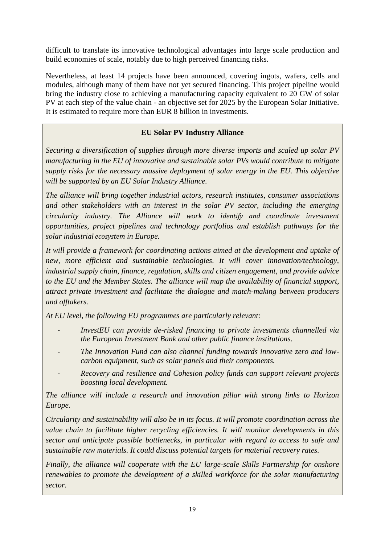difficult to translate its innovative technological advantages into large scale production and build economies of scale, notably due to high perceived financing risks.

Nevertheless, at least 14 projects have been announced, covering ingots, wafers, cells and modules, although many of them have not yet secured financing. This project pipeline would bring the industry close to achieving a manufacturing capacity equivalent to 20 GW of solar PV at each step of the value chain - an objective set for 2025 by the European Solar Initiative. It is estimated to require more than EUR 8 billion in investments.

# **EU Solar PV Industry Alliance**

*Securing a diversification of supplies through more diverse imports and scaled up solar PV manufacturing in the EU of innovative and sustainable solar PVs would contribute to mitigate supply risks for the necessary massive deployment of solar energy in the EU. This objective will be supported by an EU Solar Industry Alliance.*

*The alliance will bring together industrial actors, research institutes, consumer associations and other stakeholders with an interest in the solar PV sector, including the emerging circularity industry. The Alliance will work to identify and coordinate investment opportunities, project pipelines and technology portfolios and establish pathways for the solar industrial ecosystem in Europe.*

*It will provide a framework for coordinating actions aimed at the development and uptake of new, more efficient and sustainable technologies. It will cover innovation/technology, industrial supply chain, finance, regulation, skills and citizen engagement, and provide advice to the EU and the Member States. The alliance will map the availability of financial support, attract private investment and facilitate the dialogue and match-making between producers and offtakers.* 

*At EU level, the following EU programmes are particularly relevant:*

- *InvestEU can provide de-risked financing to private investments channelled via the European Investment Bank and other public finance institutions.*
- *The Innovation Fund can also channel funding towards innovative zero and lowcarbon equipment, such as solar panels and their components.*
- *Recovery and resilience and Cohesion policy funds can support relevant projects boosting local development.*

*The alliance will include a research and innovation pillar with strong links to Horizon Europe.*

*Circularity and sustainability will also be in its focus. It will promote coordination across the value chain to facilitate higher recycling efficiencies. It will monitor developments in this sector and anticipate possible bottlenecks, in particular with regard to access to safe and sustainable raw materials. It could discuss potential targets for material recovery rates.* 

*Finally, the alliance will cooperate with the EU large-scale Skills Partnership for onshore renewables to promote the development of a skilled workforce for the solar manufacturing sector.*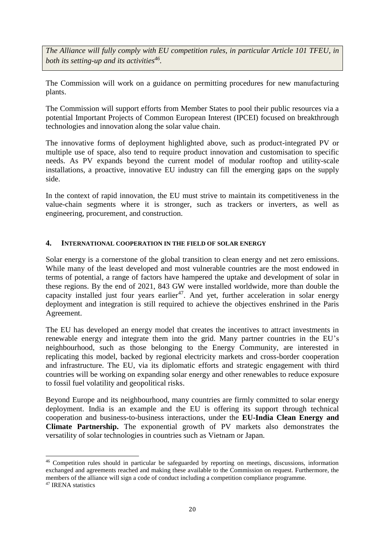*The Alliance will fully comply with EU competition rules, in particular Article 101 TFEU, in both its setting-up and its activities<sup>46</sup> .* 

The Commission will work on a guidance on permitting procedures for new manufacturing plants.

The Commission will support efforts from Member States to pool their public resources via a potential Important Projects of Common European Interest (IPCEI) focused on breakthrough technologies and innovation along the solar value chain.

The innovative forms of deployment highlighted above, such as product-integrated PV or multiple use of space, also tend to require product innovation and customisation to specific needs. As PV expands beyond the current model of modular rooftop and utility-scale installations, a proactive, innovative EU industry can fill the emerging gaps on the supply side.

In the context of rapid innovation, the EU must strive to maintain its competitiveness in the value-chain segments where it is stronger, such as trackers or inverters, as well as engineering, procurement, and construction.

### **4. INTERNATIONAL COOPERATION IN THE FIELD OF SOLAR ENERGY**

Solar energy is a cornerstone of the global transition to clean energy and net zero emissions. While many of the least developed and most vulnerable countries are the most endowed in terms of potential, a range of factors have hampered the uptake and development of solar in these regions. By the end of 2021, 843 GW were installed worldwide, more than double the capacity installed just four years earlier<sup>47</sup>. And yet, further acceleration in solar energy deployment and integration is still required to achieve the objectives enshrined in the Paris Agreement.

The EU has developed an energy model that creates the incentives to attract investments in renewable energy and integrate them into the grid. Many partner countries in the EU's neighbourhood, such as those belonging to the Energy Community, are interested in replicating this model, backed by regional electricity markets and cross-border cooperation and infrastructure. The EU, via its diplomatic efforts and strategic engagement with third countries will be working on expanding solar energy and other renewables to reduce exposure to fossil fuel volatility and geopolitical risks.

Beyond Europe and its neighbourhood, many countries are firmly committed to solar energy deployment. India is an example and the EU is offering its support through technical cooperation and business-to-business interactions, under the **EU-India Clean Energy and Climate Partnership.** The exponential growth of PV markets also demonstrates the versatility of solar technologies in countries such as Vietnam or Japan.

<u>.</u>

<sup>&</sup>lt;sup>46</sup> Competition rules should in particular be safeguarded by reporting on meetings, discussions, information exchanged and agreements reached and making these available to the Commission on request. Furthermore, the members of the alliance will sign a code of conduct including a competition compliance programme.

<sup>47</sup> IRENA statistics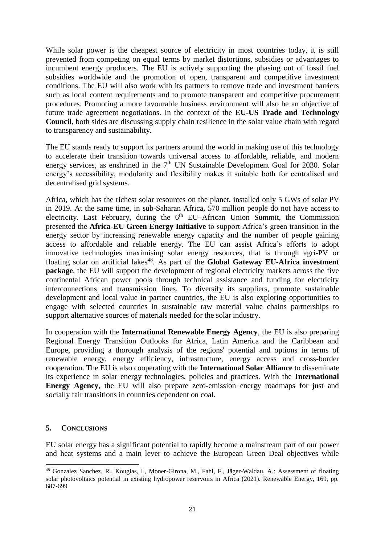While solar power is the cheapest source of electricity in most countries today, it is still prevented from competing on equal terms by market distortions, subsidies or advantages to incumbent energy producers. The EU is actively supporting the phasing out of fossil fuel subsidies worldwide and the promotion of open, transparent and competitive investment conditions. The EU will also work with its partners to remove trade and investment barriers such as local content requirements and to promote transparent and competitive procurement procedures. Promoting a more favourable business environment will also be an objective of future trade agreement negotiations. In the context of the **EU-US Trade and Technology Council**, both sides are discussing supply chain resilience in the solar value chain with regard to transparency and sustainability.

The EU stands ready to support its partners around the world in making use of this technology to accelerate their transition towards universal access to affordable, reliable, and modern energy services, as enshrined in the  $7<sup>th</sup>$  UN Sustainable Development Goal for 2030. Solar energy's accessibility, modularity and flexibility makes it suitable both for centralised and decentralised grid systems.

Africa, which has the richest solar resources on the planet, installed only 5 GWs of solar PV in 2019. At the same time, in sub-Saharan Africa, 570 million people do not have access to electricity. Last February, during the  $6<sup>th</sup>$  EU–African Union Summit, the Commission presented the **Africa-EU Green Energy Initiative** to support Africa's green transition in the energy sector by increasing renewable energy capacity and the number of people gaining access to affordable and reliable energy. The EU can assist Africa's efforts to adopt innovative technologies maximising solar energy resources, that is through agri-PV or floating solar on artificial lakes<sup>48</sup>. As part of the **Global Gateway EU-Africa investment package**, the EU will support the development of regional electricity markets across the five continental African power pools through technical assistance and funding for electricity interconnections and transmission lines. To diversify its suppliers, promote sustainable development and local value in partner countries, the EU is also exploring opportunities to engage with selected countries in sustainable raw material value chains partnerships to support alternative sources of materials needed for the solar industry.

In cooperation with the **International Renewable Energy Agency**, the EU is also preparing Regional Energy Transition Outlooks for Africa, Latin America and the Caribbean and Europe, providing a thorough analysis of the regions' potential and options in terms of renewable energy, energy efficiency, infrastructure, energy access and cross-border cooperation. The EU is also cooperating with the **International Solar Alliance** to disseminate its experience in solar energy technologies, policies and practices. With the **International Energy Agency**, the EU will also prepare zero-emission energy roadmaps for just and socially fair transitions in countries dependent on coal.

### **5. CONCLUSIONS**

.<br>-

EU solar energy has a significant potential to rapidly become a mainstream part of our power and heat systems and a main lever to achieve the European Green Deal objectives while

<sup>48</sup> Gonzalez Sanchez, R., Kougias, I., Moner-Girona, M., Fahl, F., Jäger-Waldau, A.: Assessment of floating solar photovoltaics potential in existing hydropower reservoirs in Africa (2021). Renewable Energy, 169, pp. 687-699